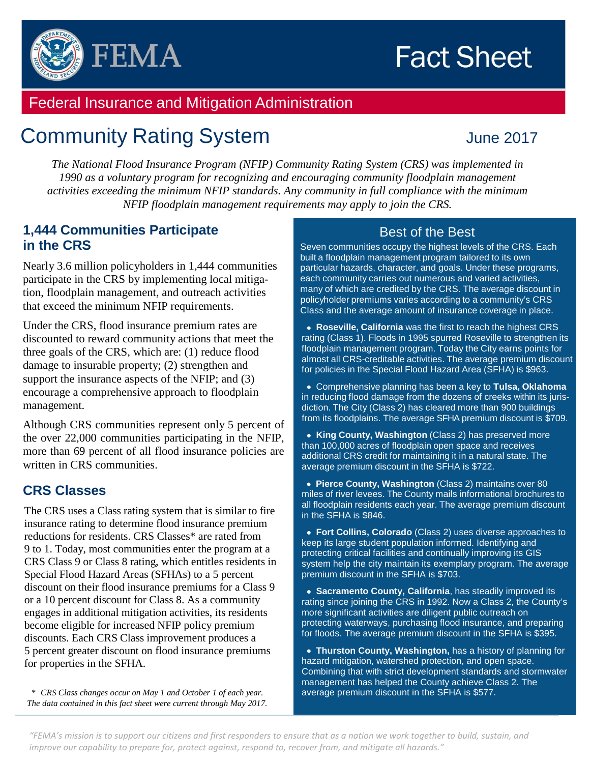



# Federal Insurance and Mitigation Administration

# Community Rating System June 2017

*The National Flood Insurance Program (NFIP) Community Rating System (CRS) was implemented in 1990 as a voluntary program for recognizing and encouraging community floodplain management activities exceeding the minimum NFIP standards. Any community in full compliance with the minimum NFIP floodplain management requirements may apply to join the CRS.*

#### **1,444 Communities Participate in the CRS**

Nearly 3.6 million policyholders in 1,444 communities participate in the CRS by implementing local mitigation, floodplain management, and outreach activities that exceed the minimum NFIP requirements.

Under the CRS, flood insurance premium rates are discounted to reward community actions that meet the three goals of the CRS, which are: (1) reduce flood damage to insurable property; (2) strengthen and support the insurance aspects of the NFIP; and (3) encourage a comprehensive approach to floodplain management.

Although CRS communities represent only 5 percent of the over 22,000 communities participating in the NFIP, more than 69 percent of all flood insurance policies are written in CRS communities.

#### **CRS Classes**

The CRS uses a Class rating system that is similar to fire insurance rating to determine flood insurance premium reductions for residents. CRS Classes\* are rated from 9 to 1. Today, most communities enter the program at a CRS Class 9 or Class 8 rating, which entitles residents in Special Flood Hazard Areas (SFHAs) to a 5 percent discount on their flood insurance premiums for a Class 9 or a 10 percent discount for Class 8. As a community engages in additional mitigation activities, its residents become eligible for increased NFIP policy premium discounts. Each CRS Class improvement produces a 5 percent greater discount on flood insurance premiums for properties in the SFHA.

*\* CRS Class changes occur on May 1 and October 1 of each year. The data contained in this fact sheet were current through May 2017.* 

#### Best of the Best

Seven communities occupy the highest levels of the CRS. Each built a floodplain management program tailored to its own particular hazards, character, and goals. Under these programs, each community carries out numerous and varied activities, many of which are credited by the CRS. The average discount in policyholder premiums varies according to a community's CRS Class and the average amount of insurance coverage in place.

• **Roseville, California** was the first to reach the highest CRS rating (Class 1). Floods in 1995 spurred Roseville to strengthen its floodplain management program. Today the City earns points for almost all CRS-creditable activities. The average premium discount for policies in the Special Flood Hazard Area (SFHA) is \$963.

•Comprehensive planning has been a key to **Tulsa, Oklahoma**  in reducing flood damage from the dozens of creeks within its jurisdiction. The City (Class 2) has cleared more than 900 buildings from its floodplains. The average SFHA premium discount is \$709.

• **King County, Washington** (Class 2) has preserved more than 100,000 acres of floodplain open space and receives additional CRS credit for maintaining it in a natural state. The average premium discount in the SFHA is \$722.

• **Pierce County, Washington** (Class 2) maintains over 80 miles of river levees. The County mails informational brochures to all floodplain residents each year. The average premium discount in the SFHA is \$846.

• **Fort Collins, Colorado** (Class 2) uses diverse approaches to keep its large student population informed. Identifying and protecting critical facilities and continually improving its GIS system help the city maintain its exemplary program. The average premium discount in the SFHA is \$703.

• **Sacramento County, California**, has steadily improved its rating since joining the CRS in 1992. Now a Class 2, the County's more significant activities are diligent public outreach on protecting waterways, purchasing flood insurance, and preparing for floods. The average premium discount in the SFHA is \$395.

• **Thurston County, Washington,** has a history of planning for hazard mitigation, watershed protection, and open space. Combining that with strict development standards and stormwater management has helped the County achieve Class 2. The average premium discount in the SFHA is \$577.

*"FEMA's mission is to support our citizens and first responders to ensure that as a nation we work together to build, sustain, and improve our capability to prepare for, protect against, respond to, recover from, and mitigate all hazards."*